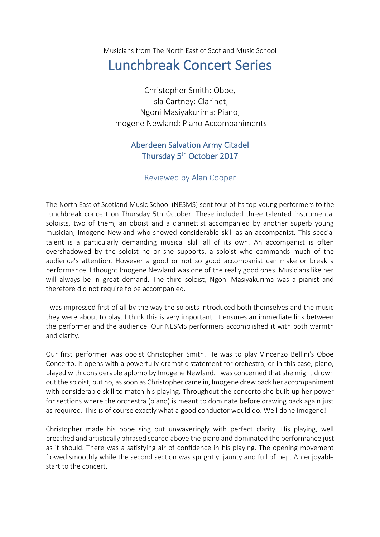Musicians from The North East of Scotland Music School

## Lunchbreak Concert Series

Christopher Smith: Oboe, Isla Cartney: Clarinet, Ngoni Masiyakurima: Piano, Imogene Newland: Piano Accompaniments

## Aberdeen Salvation Army Citadel Thursday 5<sup>th</sup> October 2017

## Reviewed by Alan Cooper

The North East of Scotland Music School (NESMS) sent four of its top young performers to the Lunchbreak concert on Thursday 5th October. These included three talented instrumental soloists, two of them, an oboist and a clarinettist accompanied by another superb young musician, Imogene Newland who showed considerable skill as an accompanist. This special talent is a particularly demanding musical skill all of its own. An accompanist is often overshadowed by the soloist he or she supports, a soloist who commands much of the audience's attention. However a good or not so good accompanist can make or break a performance. I thought Imogene Newland was one of the really good ones. Musicians like her will always be in great demand. The third soloist, Ngoni Masiyakurima was a pianist and therefore did not require to be accompanied.

I was impressed first of all by the way the soloists introduced both themselves and the music they were about to play. I think this is very important. It ensures an immediate link between the performer and the audience. Our NESMS performers accomplished it with both warmth and clarity.

Our first performer was oboist Christopher Smith. He was to play Vincenzo Bellini's Oboe Concerto. It opens with a powerfully dramatic statement for orchestra, or in this case, piano, played with considerable aplomb by Imogene Newland. I was concerned that she might drown out the soloist, but no, as soon as Christopher came in, Imogene drew back her accompaniment with considerable skill to match his playing. Throughout the concerto she built up her power for sections where the orchestra (piano) is meant to dominate before drawing back again just as required. This is of course exactly what a good conductor would do. Well done Imogene!

Christopher made his oboe sing out unwaveringly with perfect clarity. His playing, well breathed and artistically phrased soared above the piano and dominated the performance just as it should. There was a satisfying air of confidence in his playing. The opening movement flowed smoothly while the second section was sprightly, jaunty and full of pep. An enjoyable start to the concert.